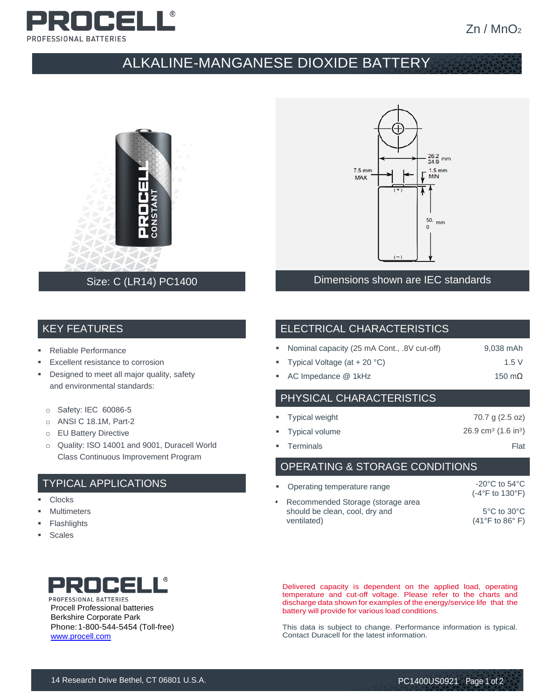

# ALKALINE-MANGANESE DIOXIDE BATTERY





## Size: C (LR14) PC1400 Dimensions shown are IEC standards

#### KEY FEATURES

- Reliable Performance
- Excellent resistance to corrosion
- **•** Designed to meet all major quality, safety and environmental standards:
	- o Safety: IEC 60086-5
	- o ANSI C 18.1M, Part-2
	- o EU Battery Directive
	- o Quality: ISO 14001 and 9001, Duracell World Class Continuous Improvement Program

### TYPICAL APPLICATIONS

- Clocks
- **Multimeters**
- **Flashlights**
- **Scales**

# PROCELL® PROFESSIONAL BATTERIES Procell Professional batteries

Berkshire Corporate Park Phone:1-800-544-5454 (Toll-free) [www.procell.com](http://www.procell.com/)

#### ELECTRICAL CHARACTERISTICS

|  | • Nominal capacity (25 mA Cont., .8V cut-off) | 9,038 mAh |
|--|-----------------------------------------------|-----------|
|--|-----------------------------------------------|-----------|

- Typical Voltage  $(at + 20 °C)$  1.5 V
- AC Impedance @ 1kHz 150 mΩ

## PHYSICAL CHARACTERISTICS

| • Typical weight | 70.7 g (2.5 oz)                            |
|------------------|--------------------------------------------|
| • Typical volume | $26.9 \text{ cm}^3$ (1.6 in <sup>3</sup> ) |
| • Terminals      | Flat                                       |

#### OPERATING & STORAGE CONDITIONS

| • Operating temperature range                                                      | $-20^{\circ}$ C to 54 $^{\circ}$ C<br>$(-4^{\circ}F$ to 130 $^{\circ}F)$ |
|------------------------------------------------------------------------------------|--------------------------------------------------------------------------|
| Recommended Storage (storage area<br>should be clean, cool, dry and<br>ventilated) | $5^{\circ}$ C to $30^{\circ}$ C<br>$(41^{\circ}$ F to 86 $^{\circ}$ F)   |

Delivered capacity is dependent on the applied load, operating temperature and cut-off voltage. Please refer to the charts and discharge data shown for examples of the energy/service life that the battery will provide for various load conditions.

This data is subject to change. Performance information is typical. Contact Duracell for the latest information.